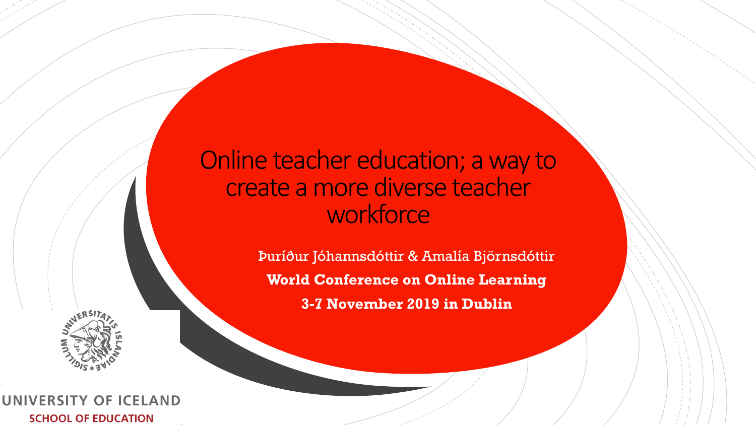Online teacher education; a way to create a more diverse teacher **workforce** 

Þuríður Jóhannsdóttir & Amalía Björnsdóttir

**World Conference on Online Learning**

**3-7 November 2019 in Dublin**



UNIVERSITY OF ICELAND **SCHOOL OF EDUCATION**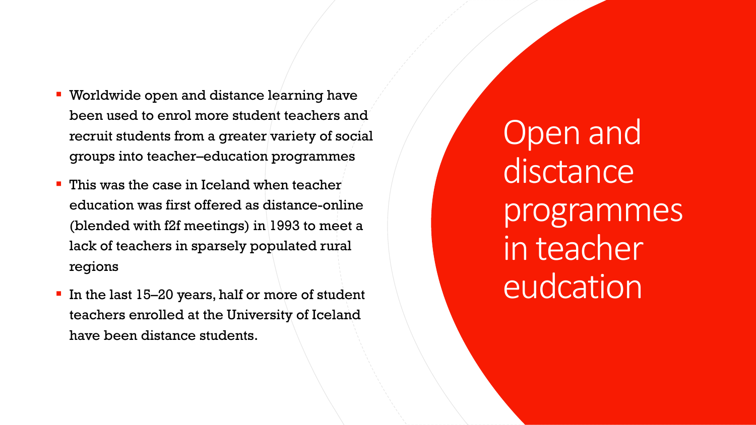- **EX Worldwide open and distance learning have** been used to enrol more student teachers and recruit students from a greater variety of social groups into teacher –education programmes
- **This was the case in Iceland when teacher** education was first offered as distance -online (blended with f2f meetings) in 1993 to meet a lack of teachers in sparsely populated rural regions
- In the last 15–20 years, half or more of student teachers enrolled at the University of Iceland have been distance students.

Open and disctance programmes in teacher eudcation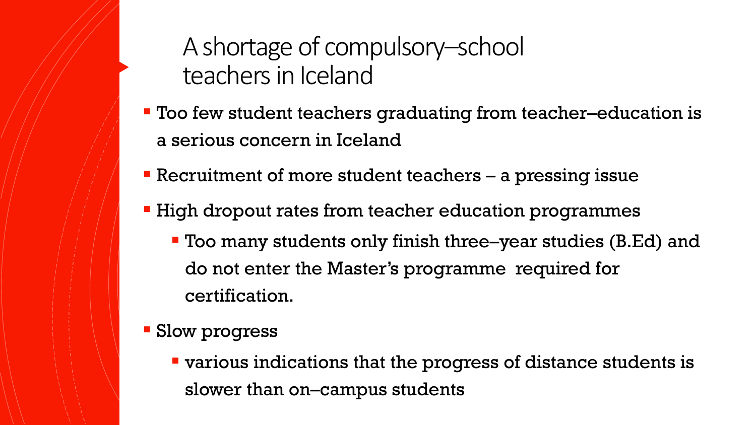## A shortage of compulsory–school teachers in Iceland

- Too few student teachers graduating from teacher–education is a serious concern in Iceland
- **EXEC RECTU RECOTE:** Recruitment of more student teachers a pressing issue
- **High dropout rates from teacher education programmes** 
	- Too many students only finish three–year studies (B.Ed) and do not enter the Master's programme required for certification.
- **E** Slow progress
	- various indications that the progress of distance students is slower than on–campus students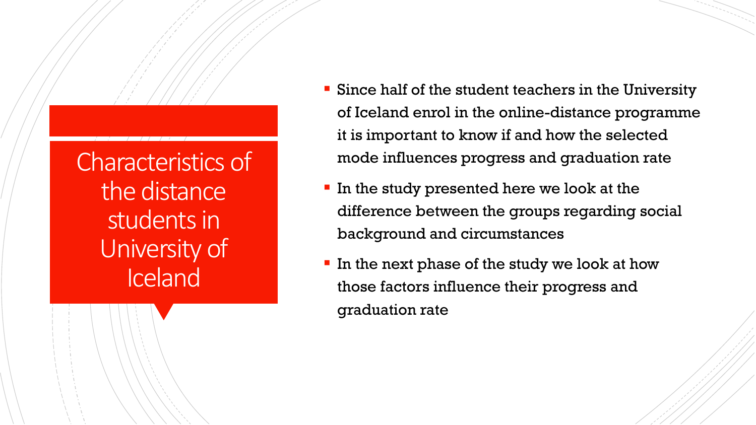Characteristics of the distance students in University of Iceland

- Since half of the student teachers in the University of Iceland enrol in the online-distance programme it is important to know if and how the selected mode influences progress and graduation rate
- **Iomal I** In the study presented here we look at the difference between the groups regarding social background and circumstances
- **IF In the next phase of the study we look at how** those factors influence their progress and graduation rate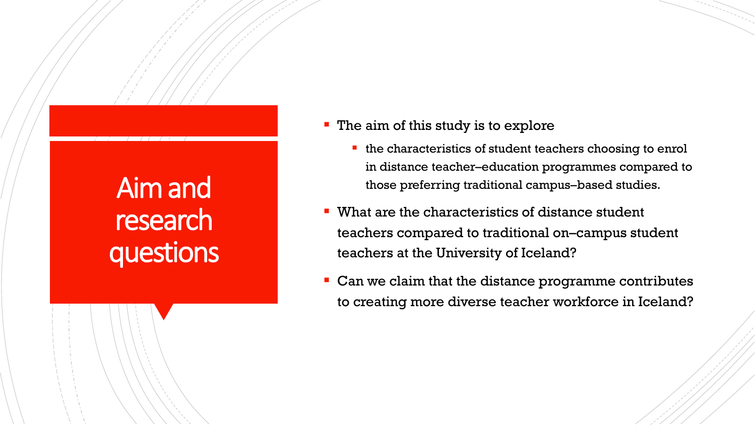# Aim and research questions

#### ■ The aim of this study is to explore

- the characteristics of student teachers choosing to enrol in distance teacher–education programmes compared to those preferring traditional campus–based studies.
- What are the characteristics of distance student teachers compared to traditional on–campus student teachers at the University of Iceland?
- Can we claim that the distance programme contributes to creating more diverse teacher workforce in Iceland?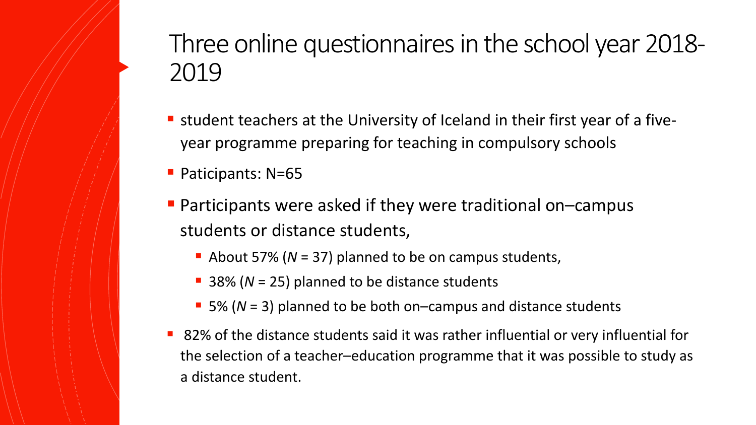# Three online questionnaires in the school year 2018- 2019

- student teachers at the University of Iceland in their first year of a fiveyear programme preparing for teaching in compulsory schools
- **Paticipants: N=65**
- Participants were asked if they were traditional on–campus students or distance students,
	- About 57% (*N* = 37) planned to be on campus students,
	- 38% (*N* = 25) planned to be distance students
	- 5% (*N* = 3) planned to be both on–campus and distance students
- 82% of the distance students said it was rather influential or very influential for the selection of a teacher–education programme that it was possible to study as a distance student.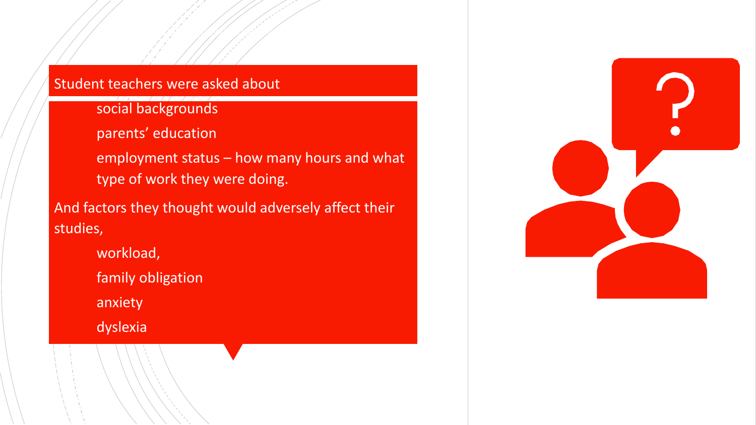#### Student teachers were asked about

social backgrounds

parents' education

employment status – how many hours and what type of work they were doing.

And factors they thought would adversely affect their studies,

Social background and circumstances

workload,

family obligation

anxiety

dyslexia

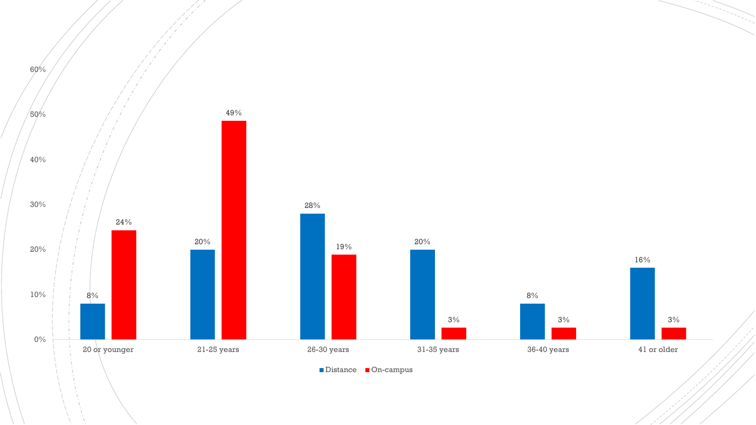

Distance On-campus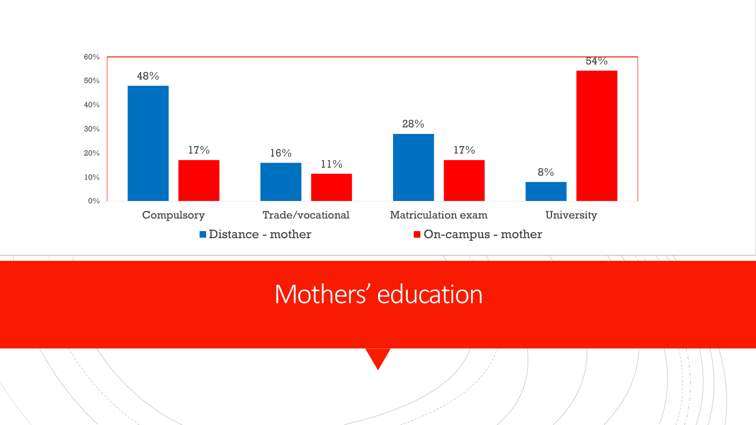

### Mothers' education

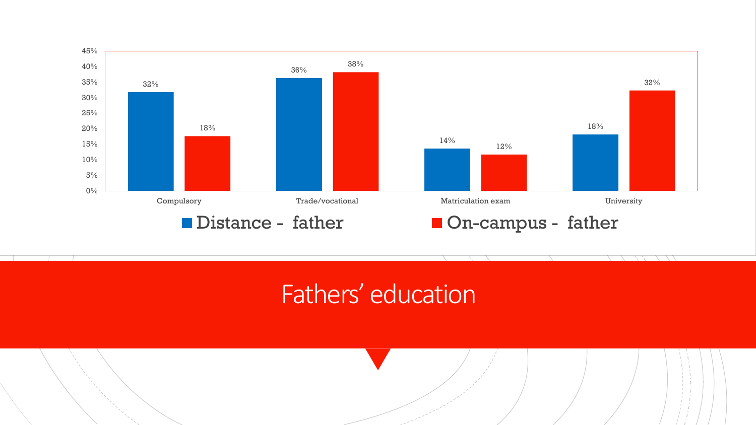

### Fathers' education

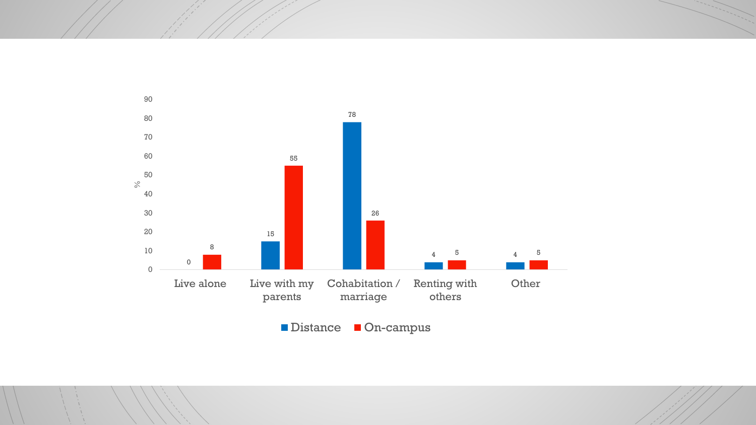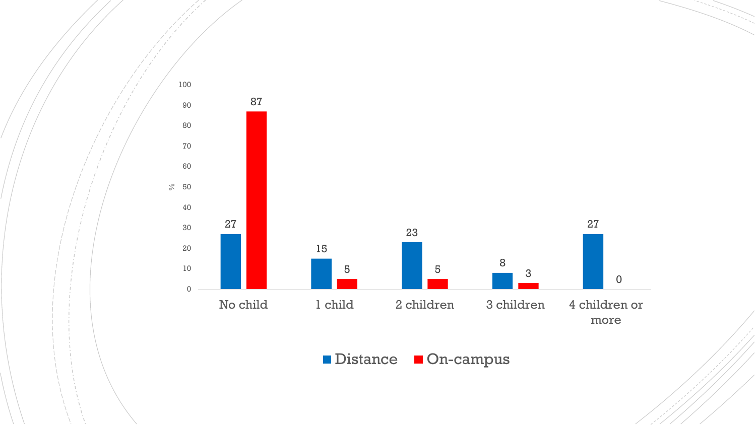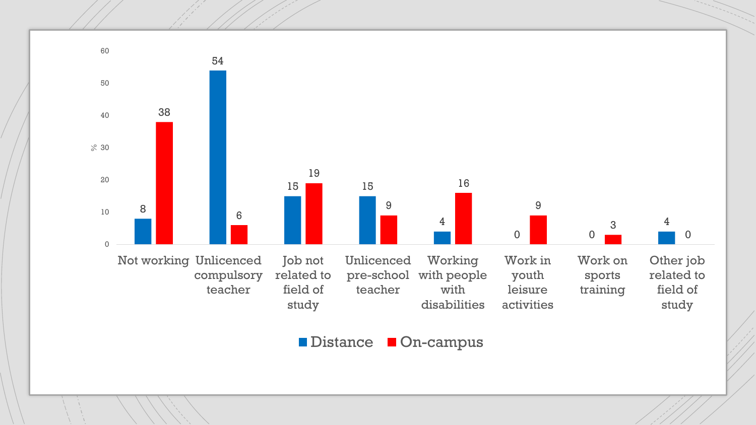

Distance On-campus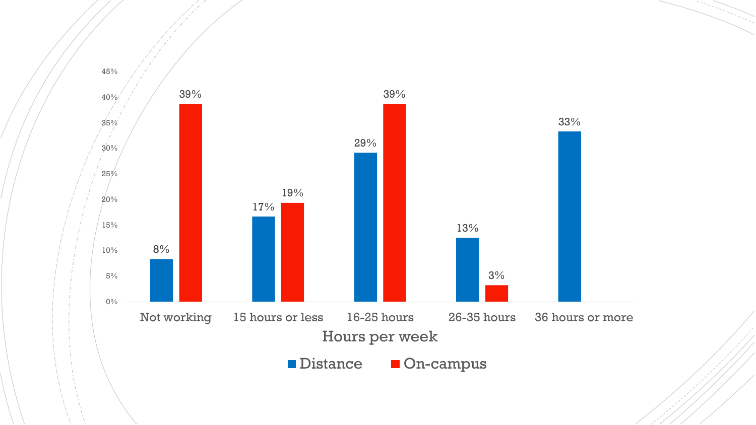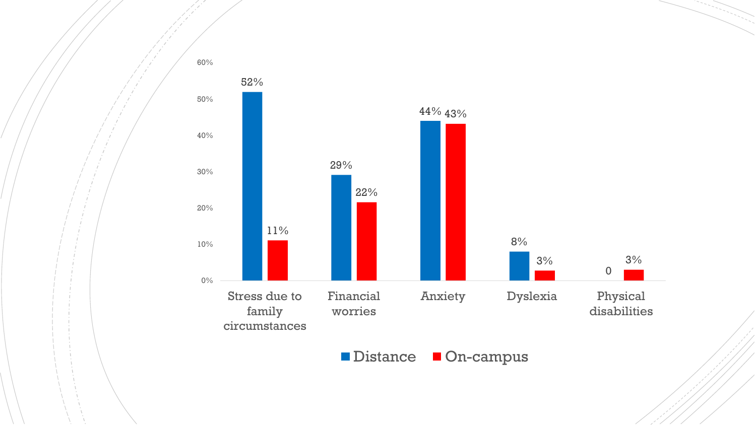

Distance On-campus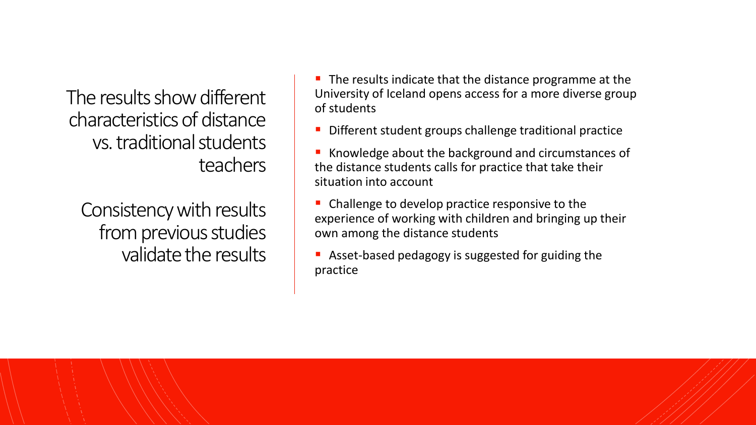The results show different characteristics of distance vs. traditional students teachers

Consistency with results from previous studies validate the results

The results indicate that the distance programme at the University of Iceland opens access for a more diverse group of students

- Different student groups challenge traditional practice
- Knowledge about the background and circumstances of the distance students calls for practice that take their situation into account
- Challenge to develop practice responsive to the experience of working with children and bringing up their own among the distance students
- Asset-based pedagogy is suggested for guiding the practice